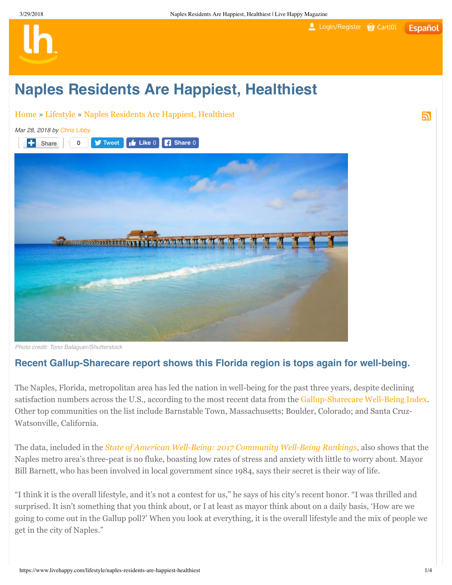## Login/Register Cart(0) **Español**

ה

## **Naples Residents Are Happiest, Healthiest**

Home » Lifestyle » Naples Residents Are Happiest, Healthiest



Photo credit: Tono Balaguer/Shutterstock

## **Recent Gallup-Sharecare report shows this Florida region is tops again for well-being.**

The Naples, Florida, metropolitan area has led the nation in well-being for the past three years, despite declining satisfaction numbers across the U.S., according to the most recent data from the Gallup-Sharecare Well-Being Index. Other top communities on the list include Barnstable Town, Massachusetts; Boulder, Colorado; and Santa Cruz-Watsonville, California.

The data, included in the *State of American Well-Being: 2017 Community Well-Being Rankings*, also shows that the Naples metro area's three-peat is no fluke, boasting low rates of stress and anxiety with little to worry about. Mayor Bill Barnett, who has been involved in local government since 1984, says their secret is their way of life.

"I think it is the overall lifestyle, and it's not a contest for us," he says of his city's recent honor. "I was thrilled and surprised. It isn't something that you think about, or I at least as mayor think about on a daily basis, 'How are we going to come out in the Gallup poll?' When you look at everything, it is the overall lifestyle and the mix of people we get in the city of Naples."